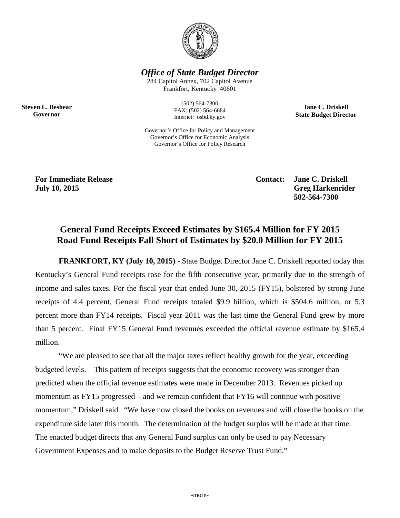

*Office of State Budget Director*

284 Capitol Annex, 702 Capitol Avenue Frankfort, Kentucky 40601

> (502) 564-7300 FAX: (502) 564-6684 Internet: osbd.ky.gov

Governor's Office for Policy and Management Governor's Office for Economic Analysis Governor's Office for Policy Research

**Jane C. Driskell State Budget Director**

**Steven L. Beshear Governor**

> **For Immediate Release Contact: Jane C. Driskell July 10, 2015 Greg Harkenrider 502-564-7300**

# **General Fund Receipts Exceed Estimates by \$165.4 Million for FY 2015 Road Fund Receipts Fall Short of Estimates by \$20.0 Million for FY 2015**

**FRANKFORT, KY (July 10, 2015)** - State Budget Director Jane C. Driskell reported today that Kentucky's General Fund receipts rose for the fifth consecutive year, primarily due to the strength of income and sales taxes. For the fiscal year that ended June 30, 2015 (FY15), bolstered by strong June receipts of 4.4 percent, General Fund receipts totaled \$9.9 billion, which is \$504.6 million, or 5.3 percent more than FY14 receipts. Fiscal year 2011 was the last time the General Fund grew by more than 5 percent. Final FY15 General Fund revenues exceeded the official revenue estimate by \$165.4 million.

"We are pleased to see that all the major taxes reflect healthy growth for the year, exceeding budgeted levels. This pattern of receipts suggests that the economic recovery was stronger than predicted when the official revenue estimates were made in December 2013. Revenues picked up momentum as FY15 progressed – and we remain confident that FY16 will continue with positive momentum," Driskell said."We have now closed the books on revenues and will close the books on the expenditure side later this month. The determination of the budget surplus will be made at that time. The enacted budget directs that any General Fund surplus can only be used to pay Necessary Government Expenses and to make deposits to the Budget Reserve Trust Fund."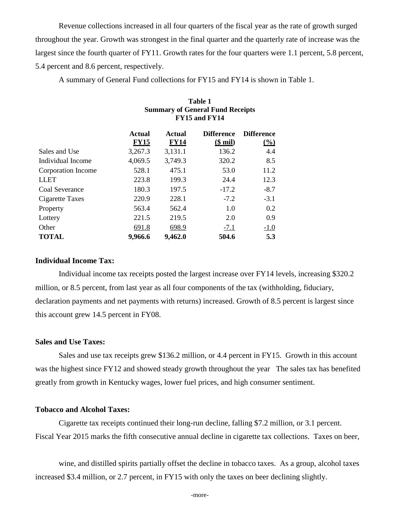Revenue collections increased in all four quarters of the fiscal year as the rate of growth surged throughout the year. Growth was strongest in the final quarter and the quarterly rate of increase was the largest since the fourth quarter of FY11. Growth rates for the four quarters were 1.1 percent, 5.8 percent, 5.4 percent and 8.6 percent, respectively.

A summary of General Fund collections for FY15 and FY14 is shown in Table 1.

|                    | <b>Table 1</b><br><b>Summary of General Fund Receipts</b><br>FY15 and FY14 |                         |                                |                                    |  |  |  |  |  |
|--------------------|----------------------------------------------------------------------------|-------------------------|--------------------------------|------------------------------------|--|--|--|--|--|
|                    | Actual<br><b>FY15</b>                                                      | Actual<br><b>FY14</b>   | <b>Difference</b><br>$($$ mil) | <b>Difference</b><br>$\frac{0}{0}$ |  |  |  |  |  |
| Sales and Use      | 3,267.3                                                                    | 3,131.1                 | 136.2                          | 4.4                                |  |  |  |  |  |
| Individual Income  | 4,069.5                                                                    | 3,749.3                 | 320.2                          | 8.5                                |  |  |  |  |  |
| Corporation Income | 528.1                                                                      | 475.1                   | 53.0                           | 11.2                               |  |  |  |  |  |
| <b>LLET</b>        | 223.8                                                                      | 199.3                   | 24.4                           | 12.3                               |  |  |  |  |  |
| Coal Severance     | 180.3                                                                      | 197.5                   | $-17.2$                        | $-8.7$                             |  |  |  |  |  |
| Cigarette Taxes    | 220.9                                                                      | 228.1                   | $-7.2$                         | $-3.1$                             |  |  |  |  |  |
| Property           | 563.4                                                                      | 562.4                   | 1.0                            | 0.2                                |  |  |  |  |  |
| Lottery            | 221.5                                                                      | 219.5                   | 2.0                            | 0.9                                |  |  |  |  |  |
| Other              | 691.8                                                                      | 698.9                   | $-7.1$                         | $-1.0$                             |  |  |  |  |  |
| <b>TOTAL</b>       | 9,966.6                                                                    | 9,462.0<br>504.6<br>5.3 |                                |                                    |  |  |  |  |  |

#### **Individual Income Tax:**

Individual income tax receipts posted the largest increase over FY14 levels, increasing \$320.2 million, or 8.5 percent, from last year as all four components of the tax (withholding, fiduciary, declaration payments and net payments with returns) increased. Growth of 8.5 percent is largest since this account grew 14.5 percent in FY08.

#### **Sales and Use Taxes:**

Sales and use tax receipts grew \$136.2 million, or 4.4 percent in FY15. Growth in this account was the highest since FY12 and showed steady growth throughout the year The sales tax has benefited greatly from growth in Kentucky wages, lower fuel prices, and high consumer sentiment.

#### **Tobacco and Alcohol Taxes:**

Cigarette tax receipts continued their long-run decline, falling \$7.2 million, or 3.1 percent. Fiscal Year 2015 marks the fifth consecutive annual decline in cigarette tax collections. Taxes on beer,

wine, and distilled spirits partially offset the decline in tobacco taxes. As a group, alcohol taxes increased \$3.4 million, or 2.7 percent, in FY15 with only the taxes on beer declining slightly.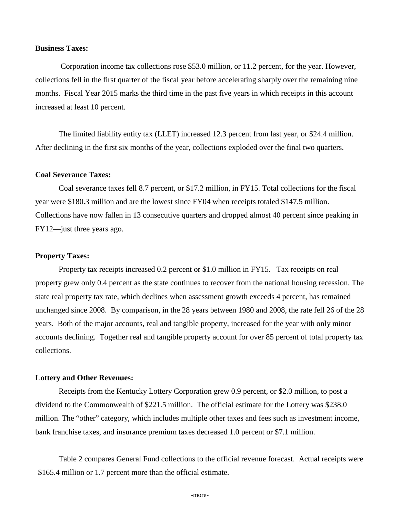### **Business Taxes:**

Corporation income tax collections rose \$53.0 million, or 11.2 percent, for the year. However, collections fell in the first quarter of the fiscal year before accelerating sharply over the remaining nine months. Fiscal Year 2015 marks the third time in the past five years in which receipts in this account increased at least 10 percent.

The limited liability entity tax (LLET) increased 12.3 percent from last year, or \$24.4 million. After declining in the first six months of the year, collections exploded over the final two quarters.

#### **Coal Severance Taxes:**

Coal severance taxes fell 8.7 percent, or \$17.2 million, in FY15. Total collections for the fiscal year were \$180.3 million and are the lowest since FY04 when receipts totaled \$147.5 million. Collections have now fallen in 13 consecutive quarters and dropped almost 40 percent since peaking in FY12—just three years ago.

#### **Property Taxes:**

Property tax receipts increased 0.2 percent or \$1.0 million in FY15. Tax receipts on real property grew only 0.4 percent as the state continues to recover from the national housing recession. The state real property tax rate, which declines when assessment growth exceeds 4 percent, has remained unchanged since 2008. By comparison, in the 28 years between 1980 and 2008, the rate fell 26 of the 28 years. Both of the major accounts, real and tangible property, increased for the year with only minor accounts declining. Together real and tangible property account for over 85 percent of total property tax collections.

#### **Lottery and Other Revenues:**

Receipts from the Kentucky Lottery Corporation grew 0.9 percent, or \$2.0 million, to post a dividend to the Commonwealth of \$221.5 million. The official estimate for the Lottery was \$238.0 million. The "other" category, which includes multiple other taxes and fees such as investment income, bank franchise taxes, and insurance premium taxes decreased 1.0 percent or \$7.1 million.

Table 2 compares General Fund collections to the official revenue forecast. Actual receipts were \$165.4 million or 1.7 percent more than the official estimate.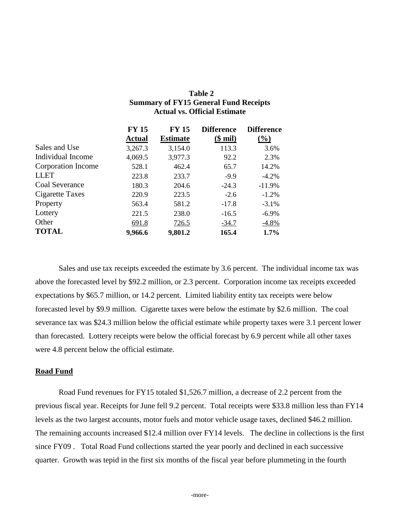| Table 2                                      |
|----------------------------------------------|
| <b>Summary of FY15 General Fund Receipts</b> |
| <b>Actual vs. Official Estimate</b>          |

|                    | <b>FY 15</b>  | <b>FY 15</b>    | <b>Difference</b> | <b>Difference</b> |
|--------------------|---------------|-----------------|-------------------|-------------------|
|                    | <b>Actual</b> | <b>Estimate</b> | $\$$ mil)         | $\frac{9}{0}$     |
| Sales and Use      | 3,267.3       | 3,154.0         | 113.3             | 3.6%              |
| Individual Income  | 4,069.5       | 3,977.3         | 92.2              | 2.3%              |
| Corporation Income | 528.1         | 462.4           | 65.7              | 14.2%             |
| <b>LLET</b>        | 223.8         | 233.7           | $-9.9$            | $-4.2%$           |
| Coal Severance     | 180.3         | 204.6           | $-24.3$           | $-11.9%$          |
| Cigarette Taxes    | 220.9         | 223.5           | $-2.6$            | $-1.2%$           |
| Property           | 563.4         | 581.2           | $-17.8$           | $-3.1%$           |
| Lottery            | 221.5         | 238.0           | $-16.5$           | $-6.9\%$          |
| Other              | 691.8         | 726.5           | $-34.7$           | $-4.8\%$          |
| <b>TOTAL</b>       | 9,966.6       | 9,801.2         | 165.4             | 1.7%              |

Sales and use tax receipts exceeded the estimate by 3.6 percent. The individual income tax was above the forecasted level by \$92.2 million, or 2.3 percent. Corporation income tax receipts exceeded expectations by \$65.7 million, or 14.2 percent. Limited liability entity tax receipts were below forecasted level by \$9.9 million. Cigarette taxes were below the estimate by \$2.6 million. The coal severance tax was \$24.3 million below the official estimate while property taxes were 3.1 percent lower than forecasted. Lottery receipts were below the official forecast by 6.9 percent while all other taxes were 4.8 percent below the official estimate.

#### **Road Fund**

Road Fund revenues for FY15 totaled \$1,526.7 million, a decrease of 2.2 percent from the previous fiscal year. Receipts for June fell 9.2 percent. Total receipts were \$33.8 million less than FY14 levels as the two largest accounts, motor fuels and motor vehicle usage taxes, declined \$46.2 million. The remaining accounts increased \$12.4 million over FY14 levels. The decline in collections is the first since FY09 . Total Road Fund collections started the year poorly and declined in each successive quarter. Growth was tepid in the first six months of the fiscal year before plummeting in the fourth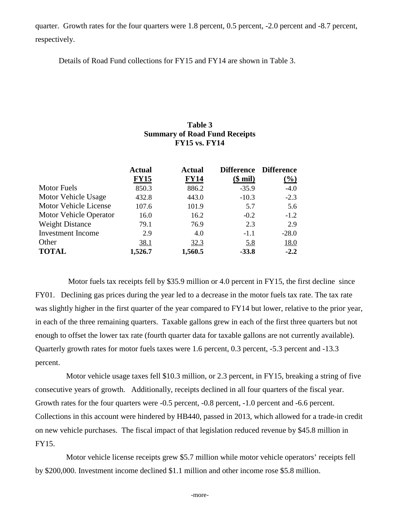quarter. Growth rates for the four quarters were 1.8 percent, 0.5 percent, -2.0 percent and -8.7 percent, respectively.

Details of Road Fund collections for FY15 and FY14 are shown in Table 3.

## **Table 3 Summary of Road Fund Receipts FY15 vs. FY14**

|                          | <b>Actual</b> | <b>Actual</b> |            | Difference Difference      |
|--------------------------|---------------|---------------|------------|----------------------------|
|                          | <b>FY15</b>   | <b>FY14</b>   | $$$ mil)   | $\left(\frac{9}{0}\right)$ |
| <b>Motor Fuels</b>       | 850.3         | 886.2         | $-35.9$    | $-4.0$                     |
| Motor Vehicle Usage      | 432.8         | 443.0         | $-10.3$    | $-2.3$                     |
| Motor Vehicle License    | 107.6         | 101.9         | 5.7        | 5.6                        |
| Motor Vehicle Operator   | 16.0          | 16.2          | $-0.2$     | $-1.2$                     |
| <b>Weight Distance</b>   | 79.1          | 76.9          | 2.3        | 2.9                        |
| <b>Investment Income</b> | 2.9           | 4.0           | $-1.1$     | $-28.0$                    |
| Other                    | 38.1          | 32.3          | <u>5.8</u> | 18.0                       |
| <b>TOTAL</b>             | 1,526.7       | 1,560.5       | $-33.8$    | $-2.2$                     |

Motor fuels tax receipts fell by \$35.9 million or 4.0 percent in FY15, the first decline since FY01. Declining gas prices during the year led to a decrease in the motor fuels tax rate. The tax rate was slightly higher in the first quarter of the year compared to FY14 but lower, relative to the prior year, in each of the three remaining quarters. Taxable gallons grew in each of the first three quarters but not enough to offset the lower tax rate (fourth quarter data for taxable gallons are not currently available). Quarterly growth rates for motor fuels taxes were 1.6 percent, 0.3 percent, -5.3 percent and -13.3 percent.

Motor vehicle usage taxes fell \$10.3 million, or 2.3 percent, in FY15, breaking a string of five consecutive years of growth. Additionally, receipts declined in all four quarters of the fiscal year. Growth rates for the four quarters were -0.5 percent, -0.8 percent, -1.0 percent and -6.6 percent. Collections in this account were hindered by HB440, passed in 2013, which allowed for a trade-in credit on new vehicle purchases. The fiscal impact of that legislation reduced revenue by \$45.8 million in FY15.

Motor vehicle license receipts grew \$5.7 million while motor vehicle operators' receipts fell by \$200,000. Investment income declined \$1.1 million and other income rose \$5.8 million.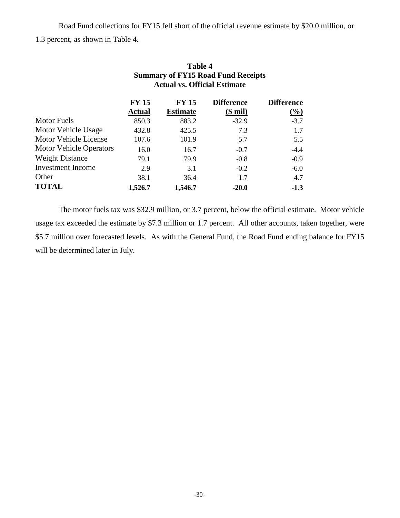Road Fund collections for FY15 fell short of the official revenue estimate by \$20.0 million, or 1.3 percent, as shown in Table 4.

|                                | <b>Actual vs. Official Estimate</b> |                 |                   |                   |  |
|--------------------------------|-------------------------------------|-----------------|-------------------|-------------------|--|
|                                | <b>FY 15</b>                        | <b>FY 15</b>    | <b>Difference</b> | <b>Difference</b> |  |
|                                | <b>Actual</b>                       | <b>Estimate</b> | <u>(\$ mil)</u>   | $\frac{0}{0}$     |  |
| <b>Motor Fuels</b>             | 850.3                               | 883.2           | $-32.9$           | $-3.7$            |  |
| Motor Vehicle Usage            | 432.8                               | 425.5           | 7.3               | 1.7               |  |
| Motor Vehicle License          | 107.6                               | 101.9           | 5.7               | 5.5               |  |
| <b>Motor Vehicle Operators</b> | 16.0                                | 16.7            | $-0.7$            | $-4.4$            |  |
| <b>Weight Distance</b>         | 79.1                                | 79.9            | $-0.8$            | $-0.9$            |  |
| <b>Investment</b> Income       | 2.9                                 | 3.1             | $-0.2$            | $-6.0$            |  |
| Other                          | <u>38.1</u>                         | 36.4            | 1.7               | 4.7               |  |
| <b>TOTAL</b>                   | 1,526.7                             | 1,546.7         | $-20.0$           | $-1.3$            |  |

# **Table 4 Summary of FY15 Road Fund Receipts**

The motor fuels tax was \$32.9 million, or 3.7 percent, below the official estimate. Motor vehicle usage tax exceeded the estimate by \$7.3 million or 1.7 percent. All other accounts, taken together, were \$5.7 million over forecasted levels. As with the General Fund, the Road Fund ending balance for FY15 will be determined later in July.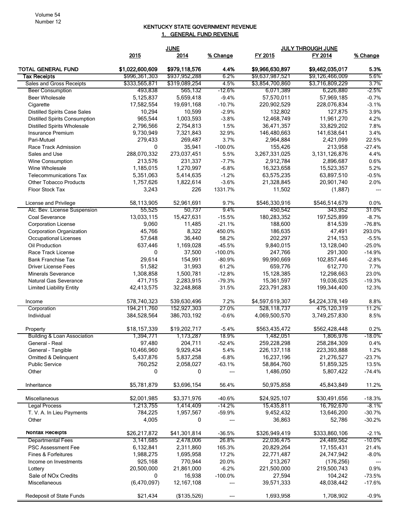#### KENTUCKY STATE GOVERNMENT REVENUE 1. GENERAL FUND REVENUE

|                                      | <b>JUNE</b>     |               |           | <b>JULY THROUGH JUNE</b> |                  |          |
|--------------------------------------|-----------------|---------------|-----------|--------------------------|------------------|----------|
|                                      | 2015            | 2014          | % Change  | FY 2015                  | FY 2014          | % Change |
| <b>TOTAL GENERAL FUND</b>            | \$1,022,600,609 | \$979,118,576 | 4.4%      | \$9,966,630,897          | \$9,462,035,017  | 5.3%     |
| <b>Tax Receipts</b>                  | \$996,361,303   | \$937,952,288 | 6.2%      | \$9,637,987,521          | \$9,126,466,009  | 5.6%     |
| Sales and Gross Receipts             | \$333,565,871   | \$319,089,254 | 4.5%      | \$3,854,700,860          | \$3,716,809,229  | 3.7%     |
| <b>Beer Consumption</b>              | 493,838         | 565,132       | $-12.6%$  | 6,071,389                | 6,226,880        | $-2.5%$  |
| <b>Beer Wholesale</b>                | 5,125,837       | 5,659,418     | $-9.4%$   | 57,570,011               | 57,969,185       | $-0.7%$  |
| Cigarette                            | 17,582,554      | 19,691,168    | $-10.7%$  | 220,902,529              | 228,076,834      | $-3.1%$  |
| <b>Distilled Spirits Case Sales</b>  | 10,294          | 10,599        | $-2.9%$   | 132,802                  | 127,875          | 3.9%     |
| <b>Distilled Spirits Consumption</b> | 965,544         | 1,003,593     | $-3.8%$   | 12,468,749               | 11,961,270       | 4.2%     |
| <b>Distilled Spirits Wholesale</b>   | 2,796,566       | 2,754,813     | 1.5%      | 36,471,357               | 33,829,202       | 7.8%     |
| Insurance Premium                    | 9,730,949       | 7,321,843     | 32.9%     | 146,480,663              | 141,638,641      | 3.4%     |
| Pari-Mutuel                          | 279,433         | 269,487       | 3.7%      | 2,964,884                | 2,421,099        | 22.5%    |
| Race Track Admission                 | 0               | 35,941        | $-100.0%$ | 155,426                  | 213,958          | $-27.4%$ |
| Sales and Use                        | 288,070,332     | 273,037,451   | 5.5%      | 3,267,331,025            | 3, 131, 126, 876 | 4.4%     |
| Wine Consumption                     | 213,576         | 231,337       | $-7.7%$   | 2,912,784                | 2,896,687        | 0.6%     |
| Wine Wholesale                       | 1,185,015       | 1,270,997     | $-6.8%$   | 16,323,658               | 15,523,357       | 5.2%     |
| <b>Telecommunications Tax</b>        | 5,351,063       | 5,414,635     | $-1.2%$   | 63,575,235               | 63,897,510       | $-0.5%$  |
| <b>Other Tobacco Products</b>        | 1,757,626       | 1,822,614     | $-3.6%$   | 21,328,845               | 20,901,740       | 2.0%     |
| Floor Stock Tax                      | 3,243           | 226           | 1331.7%   | 11,502                   | (1,887)          | $---$    |
| License and Privilege                | 58,113,905      | 52,961,691    | 9.7%      | \$546,330,916            | \$546,514,679    | 0.0%     |
| Alc. Bev. License Suspension         | 55,525          | 50,737        | 9.4%      | 450,542                  | 343,952          | 31.0%    |
| Coal Severance                       | 13,033,115      | 15,427,631    | $-15.5%$  | 180,283,352              | 197,525,899      | $-8.7%$  |
| <b>Corporation License</b>           | 9,060           | 11,485        | $-21.1%$  | 188,600                  | 814,539          | $-76.8%$ |
| Corporation Organization             | 45,766          | 8,322         | 450.0%    | 186,635                  | 47,491           | 293.0%   |
| <b>Occupational Licenses</b>         | 57,648          | 36,440        | 58.2%     | 202,297                  | 214,153          | $-5.5%$  |
| Oil Production                       | 637,446         | 1,169,028     | $-45.5%$  | 9,840,015                | 13,128,040       | $-25.0%$ |
| Race Track License                   | $\mathbf 0$     | 37,500        | $-100.0%$ | 247,766                  | 291,300          | $-14.9%$ |
| <b>Bank Franchise Tax</b>            | 29,614          | 154,991       | $-80.9%$  | 99,990,669               | 102,857,446      | $-2.8%$  |
| <b>Driver License Fees</b>           | 51,582          | 31,993        | 61.2%     | 659,776                  | 612,770          | 7.7%     |
| <b>Minerals Severance</b>            | 1,308,858       | 1,500,781     | $-12.8%$  | 15,128,385               | 12,298,663       | 23.0%    |
| Natural Gas Severance                | 471,715         | 2,283,915     | $-79.3%$  | 15,361,597               | 19,036,025       | $-19.3%$ |
| <b>Limited Liability Entity</b>      | 42,413,575      | 32,248,868    | 31.5%     | 223,791,283              | 199,344,400      | 12.3%    |
| Income                               | 578,740,323     | 539,630,496   | 7.2%      | \$4,597,619,307          | \$4,224,378,149  | 8.8%     |
| Corporation                          | 194,211,760     | 152,927,303   | 27.0%     | 528,118,737              | 475,120,319      | 11.2%    |
| Individual                           | 384,528,564     | 386,703,192   | $-0.6%$   | 4,069,500,570            | 3,749,257,830    | 8.5%     |
| Property                             | \$18,157,339    | \$19,202,717  | $-5.4%$   | \$563,435,472            | \$562,428,448    | 0.2%     |
| Building & Loan Association          | 1,394,771       | 1,173,287     | 18.9%     | 1,482,051                | 1,806,976        | $-18.0%$ |
| General - Real                       | 97,480          | 204,711       | $-52.4%$  | 259,228,298              | 258,284,309      | 0.4%     |
| General - Tangible                   | 10,466,960      | 9,929,434     | 5.4%      | 226, 137, 118            | 223,393,888      | 1.2%     |
| Omitted & Delinquent                 | 5,437,876       | 5,837,258     | $-6.8%$   | 16,237,196               | 21,276,527       | $-23.7%$ |
| <b>Public Service</b>                | 760,252         | 2,058,027     | $-63.1%$  | 58,864,760               | 51,859,325       | 13.5%    |
| Other                                | 0               | 0             |           | 1,486,050                | 5,807,422        | $-74.4%$ |
| Inheritance                          | \$5,781,879     | \$3,696,154   | 56.4%     | 50,975,858               | 45,843,849       | 11.2%    |
| Miscellaneous                        | \$2,001,985     | \$3,371,976   | $-40.6%$  | \$24,925,107             | \$30,491,656     | $-18.3%$ |
| <b>Legal Process</b>                 | 1,213,755       | 1,414,409     | $-14.2%$  | 15,435,811               | 16,792,670       | $-8.1%$  |
| T. V. A. In Lieu Payments            | 784,225         | 1,957,567     | $-59.9%$  | 9,452,432                | 13,646,200       | $-30.7%$ |
| Other                                | 4,005           | 0             | $---$     | 36,863                   | 52,786           | $-30.2%$ |
| Nontax Receipts                      | \$26,217,872    | \$41,301,814  | $-36.5%$  | \$326,949,419            | \$333,860,106    | $-2.1%$  |
| <b>Departmental Fees</b>             | 3,141,685       | 2,478,006     | 26.8%     | 22,036,475               | 24,489,562       | $-10.0%$ |
| PSC Assessment Fee                   | 6,132,841       | 2,311,860     | 165.3%    | 20,829,264               | 17, 155, 431     | 21.4%    |
| Fines & Forfeitures                  | 1,988,275       | 1,695,958     | 17.2%     | 22,771,487               | 24,747,942       | $-8.0%$  |
| Income on Investments                | 925,168         | 770,944       | 20.0%     | 213,267                  | (176, 256)       |          |
| Lottery                              | 20,500,000      | 21,861,000    | $-6.2%$   | 221,500,000              | 219,500,743      | 0.9%     |
| Sale of NO <sub>x</sub> Credits      | 0               | 16,938        | $-100.0%$ | 27,594                   | 104,242          | $-73.5%$ |
| Miscellaneous                        | (6,470,097)     | 12, 167, 108  |           | 39,571,333               | 48,038,442       | $-17.6%$ |
| <b>Redeposit of State Funds</b>      | \$21,434        | (\$135,526)   | ---       | 1,693,958                | 1,708,902        | $-0.9%$  |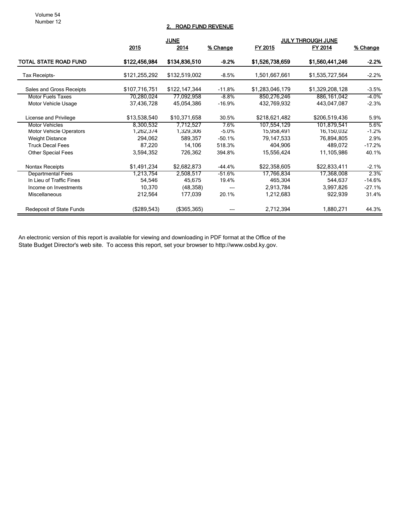Volume 54 Number 12

#### 2. ROAD FUND REVENUE

|                                 | <u>JUNE</u>   |                |          | <b>JULY THROUGH JUNE</b> |                 |          |
|---------------------------------|---------------|----------------|----------|--------------------------|-----------------|----------|
|                                 | 2015          | 2014           | % Change | FY 2015                  | FY 2014         | % Change |
| TOTAL STATE ROAD FUND           | \$122,456,984 | \$134,836,510  | $-9.2%$  | \$1,526,738,659          | \$1,560,441,246 | $-2.2%$  |
| Tax Receipts-                   | \$121,255,292 | \$132,519,002  | -8.5%    | 1,501,667,661            | \$1,535,727,564 | $-2.2\%$ |
| Sales and Gross Receipts        | \$107,716,751 | \$122,147,344  | $-11.8%$ | \$1,283,046,179          | \$1,329,208,128 | $-3.5%$  |
| <b>Motor Fuels Taxes</b>        | 70,280,024    | 77,092,958     | $-8.8%$  | 850,276,246              | 886,161,042     | -4.0%    |
| Motor Vehicle Usage             | 37,436,728    | 45,054,386     | $-16.9%$ | 432,769,932              | 443,047,087     | $-2.3%$  |
| License and Privilege           | \$13,538,540  | \$10,371,658   | 30.5%    | \$218,621,482            | \$206,519,436   | 5.9%     |
| <b>Motor Vehicles</b>           | 8,300,532     | 7,712,527      | 7.6%     | 107,554,129              | 101,879,541     | 5.6%     |
| Motor Vehicle Operators         | 1,262,374     | 1,329,306      | $-5.0%$  | 15,958,491               | 16,150,032      | $-1.2%$  |
| <b>Weight Distance</b>          | 294,062       | 589,357        | $-50.1%$ | 79,147,533               | 76,894,805      | 2.9%     |
| <b>Truck Decal Fees</b>         | 87,220        | 14,106         | 518.3%   | 404,906                  | 489,072         | $-17.2%$ |
| <b>Other Special Fees</b>       | 3,594,352     | 726,362        | 394.8%   | 15,556,424               | 11,105,986      | 40.1%    |
| <b>Nontax Receipts</b>          | \$1,491,234   | \$2,682,873    | $-44.4%$ | \$22,358,605             | \$22,833,411    | $-2.1%$  |
| <b>Departmental Fees</b>        | 1,213,754     | 2,508,517      | $-51.6%$ | 17,766,834               | 17,368,008      | 2.3%     |
| In Lieu of Traffic Fines        | 54,546        | 45,675         | 19.4%    | 465,304                  | 544,637         | $-14.6%$ |
| Income on Investments           | 10,370        | (48, 358)      |          | 2,913,784                | 3,997,826       | $-27.1%$ |
| Miscellaneous                   | 212,564       | 177,039        | 20.1%    | 1,212,683                | 922,939         | 31.4%    |
| <b>Redeposit of State Funds</b> | (\$289,543)   | $($ \$365,365) |          | 2,712,394                | 1,880,271       | 44.3%    |

An electronic version of this report is available for viewing and downloading in PDF format at the Office of the State Budget Director's web site. To access this report, set your browser to http://www.osbd.ky.gov.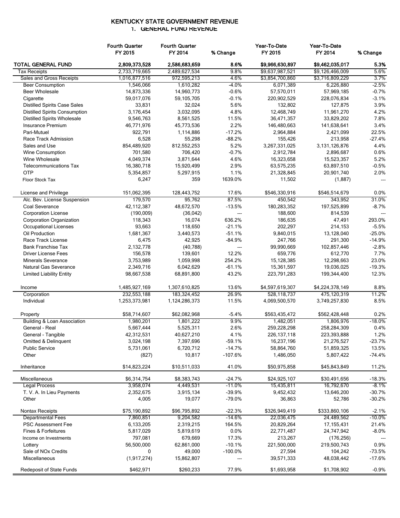#### KENTUCKY STATE GOVERNMENT REVENUE 1. GENERAL FUND REVENUE

|                                                  | <b>Fourth Quarter</b><br>FY 2015 | <b>Fourth Quarter</b><br>FY 2014 | % Change          | Year-To-Date<br>FY 2015 | Year-To-Date<br>FY 2014 | % Change           |
|--------------------------------------------------|----------------------------------|----------------------------------|-------------------|-------------------------|-------------------------|--------------------|
| <b>TOTAL GENERAL FUND</b>                        | 2,809,373,528                    | 2,586,683,659                    | 8.6%              | \$9,966,630,897         | \$9,462,035,017         | 5.3%               |
| <b>Tax Receipts</b>                              | 2,733,719,665                    | 2,489,627,534                    | 9.8%              | \$9,637,987,521         | \$9,126,466,009         | 5.6%               |
| Sales and Gross Receipts                         | 1,016,877,516                    | 972,595,213                      | 4.6%              | \$3,854,700,860         | \$3,716,809,229         | 3.7%               |
| <b>Beer Consumption</b>                          | 1,546,066                        | 1,610,282                        | $-4.0%$           | 6,071,389               | 6,226,880               | $-2.5%$            |
| <b>Beer Wholesale</b>                            | 14,873,336                       | 14,960,773                       | $-0.6%$           | 57,570,011              | 57,969,185              | $-0.7%$            |
| Cigarette                                        | 59,017,076                       | 59,105,705                       | $-0.1%$           | 220,902,529             | 228,076,834             | $-3.1%$            |
| <b>Distilled Spirits Case Sales</b>              | 33,831                           | 32,024                           | 5.6%              | 132,802                 | 127,875                 | 3.9%               |
| <b>Distilled Spirits Consumption</b>             | 3,176,454                        | 3,032,095                        | 4.8%              | 12,468,749              | 11,961,270              | 4.2%               |
| <b>Distilled Spirits Wholesale</b>               | 9,546,763                        | 8,561,525                        | 11.5%             | 36,471,357              | 33,829,202              | 7.8%               |
| Insurance Premium                                | 46,771,976                       | 45,773,536                       | 2.2%              | 146,480,663             | 141,638,641             | 3.4%               |
| Pari-Mutuel                                      | 922,791                          | 1,114,886                        | $-17.2%$          | 2,964,884               | 2,421,099               | 22.5%              |
| Race Track Admission                             | 6,528                            | 55,298                           | $-88.2%$          | 155,426                 | 213,958                 | $-27.4%$           |
| Sales and Use                                    | 854,489,920                      | 812,552,253                      | 5.2%              | 3,267,331,025           | 3, 131, 126, 876        | 4.4%               |
| Wine Consumption                                 | 701,580                          | 706,420                          | $-0.7%$           | 2,912,784               | 2,896,687               | 0.6%               |
| Wine Wholesale                                   | 4,049,374                        | 3,871,644                        | 4.6%              | 16,323,658              | 15,523,357              | 5.2%               |
| <b>Telecommunications Tax</b>                    | 16,380,718                       | 15,920,499                       | 2.9%              | 63,575,235              | 63,897,510              | $-0.5%$            |
| <b>OTP</b>                                       | 5,354,857                        | 5,297,915                        | 1.1%              | 21,328,845              | 20,901,740              | 2.0%               |
| Floor Stock Tax                                  | 6,247                            | 359                              | 1639.0%           | 11,502                  | (1,887)                 |                    |
| License and Privilege                            | 151,062,395                      | 128,443,752                      | 17.6%             | \$546,330,916           | \$546,514,679           | 0.0%               |
| Alc. Bev. License Suspension                     | 179,570                          | 95,762                           | 87.5%             | 450,542                 | 343,952                 | 31.0%              |
| Coal Severance                                   | 42,112,387                       | 48,672,570                       | $-13.5%$          | 180,283,352             | 197,525,899             | $-8.7%$            |
| <b>Corporation License</b>                       | (190,009)                        | (36, 042)                        | ---               | 188,600                 | 814,539                 |                    |
| Corporation Organization                         | 118,343                          | 16,074                           | 636.2%            | 186,635                 | 47,491                  | 293.0%             |
| <b>Occupational Licenses</b>                     | 93,663                           | 118,650                          | $-21.1%$          | 202,297                 | 214,153                 | $-5.5%$            |
| Oil Production                                   | 1,681,367                        | 3,440,573                        | $-51.1%$          | 9,840,015               | 13,128,040              | $-25.0%$           |
| Race Track License                               | 6,475                            | 42,925                           | $-84.9%$          | 247,766                 | 291,300                 | $-14.9%$           |
| <b>Bank Franchise Tax</b>                        | 2,132,778                        | (40, 788)                        | ---               | 99,990,669              | 102,857,446             | $-2.8%$            |
| <b>Driver License Fees</b>                       | 156,578                          | 139,601                          | 12.2%             | 659,776                 | 612,770                 | 7.7%               |
| <b>Minerals Severance</b>                        | 3,753,989                        | 1,059,998                        | 254.2%            | 15,128,385              | 12,298,663              | 23.0%              |
| Natural Gas Severance                            | 2,349,716                        | 6,042,629                        | $-61.1%$          | 15,361,597              | 19,036,025              | $-19.3%$           |
| <b>Limited Liability Entity</b>                  | 98,667,538                       | 68,891,800                       | 43.2%             | 223,791,283             | 199,344,400             | 12.3%              |
| Income                                           | 1,485,927,169                    | 1,307,610,825                    | 13.6%             | \$4,597,619,307         | \$4,224,378,149         | 8.8%               |
| Corporation                                      | 232,553,188                      | 183,324,452                      | 26.9%             | 528,118,737             | 475,120,319             | 11.2%              |
| Individual                                       | 1,253,373,981                    | 1,124,286,373                    | 11.5%             | 4,069,500,570           | 3,749,257,830           | 8.5%               |
| Property                                         | \$58,714,607                     | \$62,082,968                     | $-5.4%$           | \$563,435,472           | \$562,428,448           | 0.2%               |
| Building & Loan Association                      | 1,980,201                        | 1,801,222                        | 9.9%              | 1,482,051               | 1,806,976               | $-18.0%$           |
| General - Real                                   | 5,667,444                        | 5,525,311                        | 2.6%              | 259,228,298             | 258,284,309             | 0.4%               |
| General - Tangible                               | 42,312,531                       | 40.627.210                       | 4.1%              | 226, 137, 118           | 223,393,888             | 1.2%               |
| Omitted & Delinquent                             | 3,024,198                        | 7,397,696                        | $-59.1%$          | 16,237,196              | 21,276,527              | $-23.7%$           |
| <b>Public Service</b>                            | 5,731,061                        | 6,720,712                        | $-14.7%$          | 58,864,760              | 51,859,325              | 13.5%              |
| Other                                            | (827)                            | 10,817                           | $-107.6%$         | 1,486,050               | 5,807,422               | $-74.4%$           |
| Inheritance                                      | \$14,823,224                     | \$10,511,033                     | 41.0%             | \$50,975,858            | \$45,843,849            | 11.2%              |
| Miscellaneous                                    | \$6,314,754                      | \$8,383,743                      | $-24.7%$          | \$24,925,107            | \$30,491,656            | $-18.3%$           |
| Legal Process                                    | 3,958,074                        | 4,449,531                        | $-11.0%$          | 15,435,811              | 16,792,670              | $-8.1%$            |
| T. V. A. In Lieu Payments                        | 2,352,675                        | 3,915,134                        | $-39.9%$          | 9,452,432               | 13,646,200              | $-30.7%$           |
| Other                                            | 4,005                            | 19,077                           | $-79.0%$          | 36,863                  | 52,786                  | $-30.2%$           |
| <b>Nontax Receipts</b>                           | \$75,190,892                     | \$96,795,892                     | $-22.3%$          | \$326,949,419           | \$333,860,106           | $-2.1%$            |
| <b>Departmental Fees</b>                         | 7,860,851                        | 9,204,582                        | $-14.6%$          | 22,036,475              | 24,489,562              | $-10.0\%$          |
| <b>PSC Assessment Fee</b>                        | 6,133,205                        | 2,319,215                        | 164.5%            | 20,829,264              | 17,155,431              | 21.4%              |
| Fines & Forfeitures                              | 5,817,029                        | 5,819,619                        | 0.0%              | 22,771,487              | 24,747,942              | $-8.0%$            |
| Income on Investments                            | 797,081                          | 679,669                          | 17.3%             | 213,267                 | (176, 256)              |                    |
| Lottery                                          | 56,500,000                       | 62,861,000                       | $-10.1%$          | 221,500,000             | 219,500,743             | 0.9%               |
| Sale of NO <sub>x</sub> Credits<br>Miscellaneous | 0<br>(1, 917, 274)               | 49,000<br>15,862,807             | $-100.0\%$<br>--- | 27,594<br>39,571,333    | 104,242<br>48,038,442   | -73.5%<br>$-17.6%$ |
| Redeposit of State Funds                         | \$462,971                        | \$260,233                        | 77.9%             | \$1,693,958             | \$1,708,902             | $-0.9%$            |